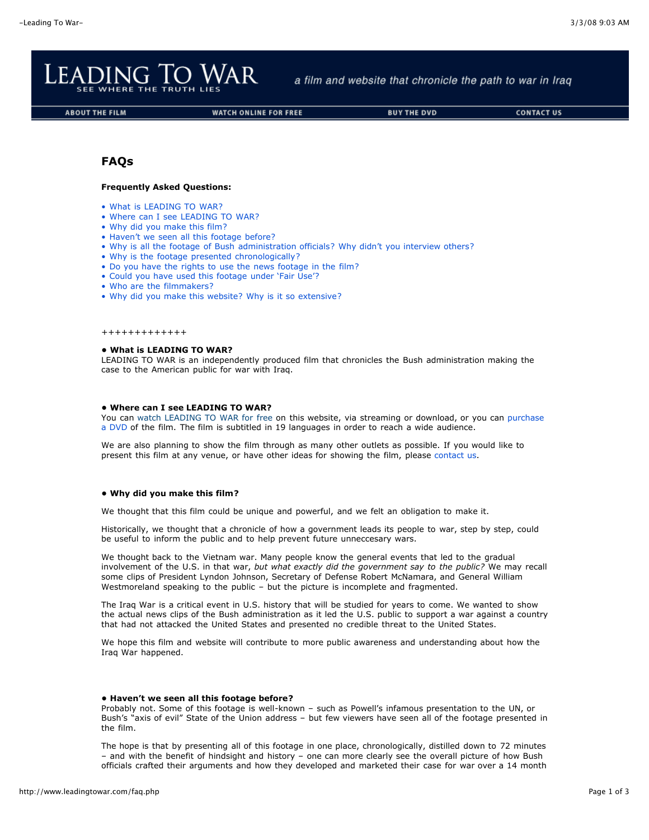

a film and website that chronicle the path to war in Iraq

```
ABOUT THE FILM
```
**WATCH ONLINE FOR FREE** 

# **FAQs**

### **Frequently Asked Questions:**

- What is [LEADING](http://www.leadingtowar.com/faq.php#LTW) TO WAR?
- Where can I see [LEADING](http://www.leadingtowar.com/faq.php#watch) TO WAR?
- Why did you [make](http://www.leadingtowar.com/faq.php#why) this film?
- [Haven't](http://www.leadingtowar.com/faq.php#seenit) we seen all this footage before?
- Why is all the footage of Bush [administration](http://www.leadingtowar.com/faq.php#bushadmin) officials? Why didn't you interview others?
- Why is the footage presented [chronologically?](http://www.leadingtowar.com/faq.php#chrono)
- Do you have the rights to use the news [footage](http://www.leadingtowar.com/faq.php#news) in the film?
- Could you have used this [footage](http://www.leadingtowar.com/faq.php#fair) under 'Fair Use'?
- Who are the [filmmakers?](http://www.leadingtowar.com/faq.php#who)
- Why did you make this website? Why is it so [extensive?](http://www.leadingtowar.com/faq.php#web)

+++++++++++++

### **• What is LEADING TO WAR?**

LEADING TO WAR is an independently produced film that chronicles the Bush administration making the case to the American public for war with Iraq.

#### **• Where can I see LEADING TO WAR?**

You can watch [LEADING](http://www.leadingtowar.com/watch_online.php) TO WAR for free on this website, via streaming or [download,](http://www.leadingtowar.com/buy.php) or you can purchase a DVD of the film. The film is subtitled in 19 languages in order to reach a wide audience.

We are also planning to show the film through as many other outlets as possible. If you would like to present this film at any venue, or have other ideas for showing the film, please [contact](http://www.leadingtowar.com/contact.php) us.

### **• Why did you make this film?**

We thought that this film could be unique and powerful, and we felt an obligation to make it.

Historically, we thought that a chronicle of how a government leads its people to war, step by step, could be useful to inform the public and to help prevent future unneccesary wars.

We thought back to the Vietnam war. Many people know the general events that led to the gradual involvement of the U.S. in that war, *but what exactly did the government say to the public?* We may recall some clips of President Lyndon Johnson, Secretary of Defense Robert McNamara, and General William Westmoreland speaking to the public – but the picture is incomplete and fragmented.

The Iraq War is a critical event in U.S. history that will be studied for years to come. We wanted to show the actual news clips of the Bush administration as it led the U.S. public to support a war against a country that had not attacked the United States and presented no credible threat to the United States.

We hope this film and website will contribute to more public awareness and understanding about how the Iraq War happened.

### **• Haven't we seen all this footage before?**

Probably not. Some of this footage is well-known – such as Powell's infamous presentation to the UN, or Bush's "axis of evil" State of the Union address – but few viewers have seen all of the footage presented in the film.

The hope is that by presenting all of this footage in one place, chronologically, distilled down to 72 minutes – and with the benefit of hindsight and history – one can more clearly see the overall picture of how Bush officials crafted their arguments and how they developed and marketed their case for war over a 14 month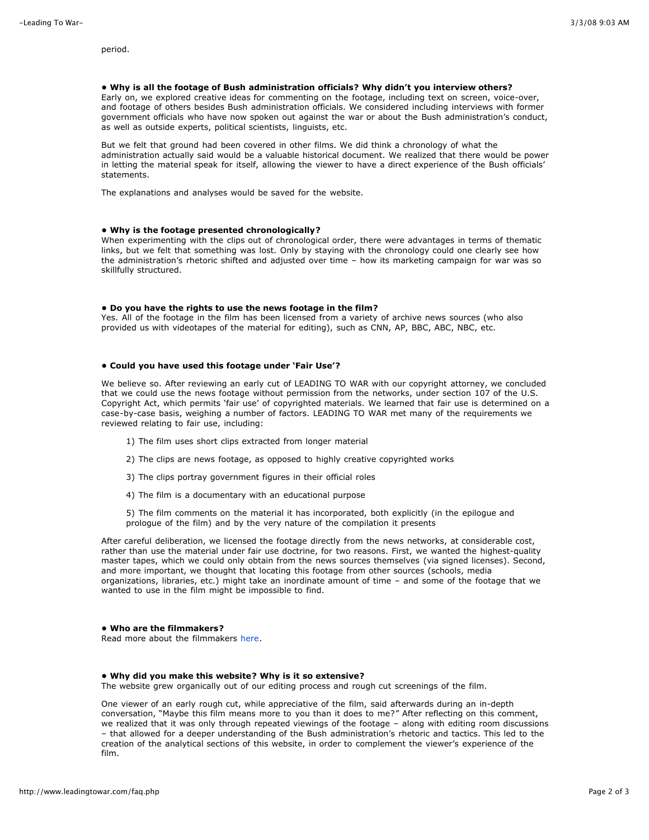period.

### **• Why is all the footage of Bush administration officials? Why didn't you interview others?**

Early on, we explored creative ideas for commenting on the footage, including text on screen, voice-over, and footage of others besides Bush administration officials. We considered including interviews with former government officials who have now spoken out against the war or about the Bush administration's conduct, as well as outside experts, political scientists, linguists, etc.

But we felt that ground had been covered in other films. We did think a chronology of what the administration actually said would be a valuable historical document. We realized that there would be power in letting the material speak for itself, allowing the viewer to have a direct experience of the Bush officials' statements.

The explanations and analyses would be saved for the website.

## **• Why is the footage presented chronologically?**

When experimenting with the clips out of chronological order, there were advantages in terms of thematic links, but we felt that something was lost. Only by staying with the chronology could one clearly see how the administration's rhetoric shifted and adjusted over time – how its marketing campaign for war was so skillfully structured.

### **• Do you have the rights to use the news footage in the film?**

Yes. All of the footage in the film has been licensed from a variety of archive news sources (who also provided us with videotapes of the material for editing), such as CNN, AP, BBC, ABC, NBC, etc.

### **• Could you have used this footage under 'Fair Use'?**

We believe so. After reviewing an early cut of LEADING TO WAR with our copyright attorney, we concluded that we could use the news footage without permission from the networks, under section 107 of the U.S. Copyright Act, which permits 'fair use' of copyrighted materials. We learned that fair use is determined on a case-by-case basis, weighing a number of factors. LEADING TO WAR met many of the requirements we reviewed relating to fair use, including:

- 1) The film uses short clips extracted from longer material
- 2) The clips are news footage, as opposed to highly creative copyrighted works
- 3) The clips portray government figures in their official roles
- 4) The film is a documentary with an educational purpose

5) The film comments on the material it has incorporated, both explicitly (in the epilogue and prologue of the film) and by the very nature of the compilation it presents

After careful deliberation, we licensed the footage directly from the news networks, at considerable cost, rather than use the material under fair use doctrine, for two reasons. First, we wanted the highest-quality master tapes, which we could only obtain from the news sources themselves (via signed licenses). Second, and more important, we thought that locating this footage from other sources (schools, media organizations, libraries, etc.) might take an inordinate amount of time – and some of the footage that we wanted to use in the film might be impossible to find.

### **• Who are the filmmakers?**

Read more about the filmmakers [here.](http://www.leadingtowar.com/bio.php)

### **• Why did you make this website? Why is it so extensive?**

The website grew organically out of our editing process and rough cut screenings of the film.

One viewer of an early rough cut, while appreciative of the film, said afterwards during an in-depth conversation, "Maybe this film means more to you than it does to me?" After reflecting on this comment, we realized that it was only through repeated viewings of the footage – along with editing room discussions – that allowed for a deeper understanding of the Bush administration's rhetoric and tactics. This led to the creation of the analytical sections of this website, in order to complement the viewer's experience of the film.